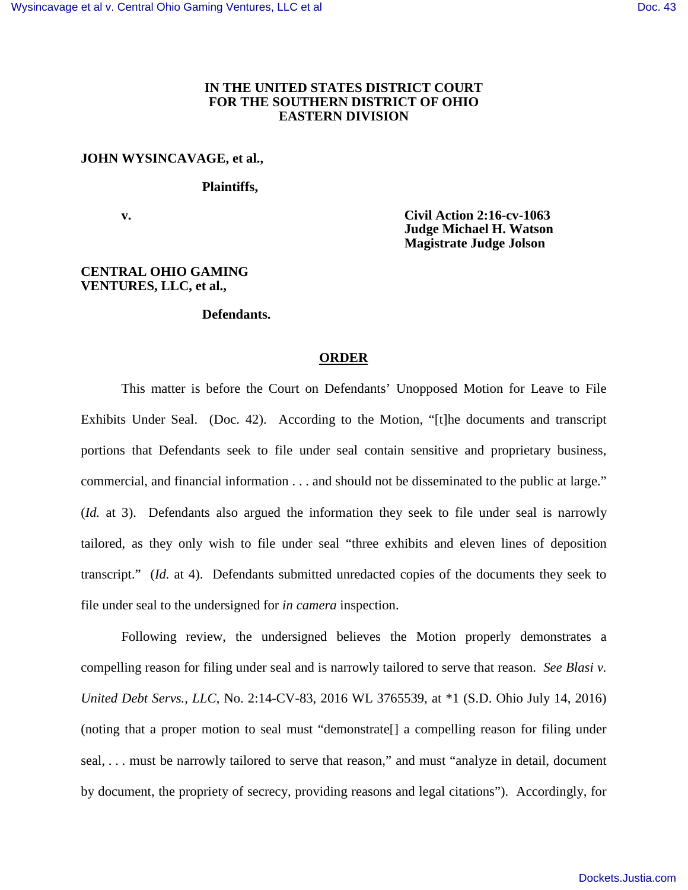# **IN THE UNITED STATES DISTRICT COURT FOR THE SOUTHERN DISTRICT OF OHIO EASTERN DIVISION**

#### **JOHN WYSINCAVAGE, et al.,**

#### **Plaintiffs,**

 **v. Civil Action 2:16-cv-1063 Judge Michael H. Watson Magistrate Judge Jolson** 

### **CENTRAL OHIO GAMING VENTURES, LLC, et al.,**

## **Defendants.**

## **ORDER**

This matter is before the Court on Defendants' Unopposed Motion for Leave to File Exhibits Under Seal. (Doc. 42). According to the Motion, "[t]he documents and transcript portions that Defendants seek to file under seal contain sensitive and proprietary business, commercial, and financial information . . . and should not be disseminated to the public at large." (*Id.* at 3). Defendants also argued the information they seek to file under seal is narrowly tailored, as they only wish to file under seal "three exhibits and eleven lines of deposition transcript." (*Id.* at 4). Defendants submitted unredacted copies of the documents they seek to file under seal to the undersigned for *in camera* inspection.

Following review, the undersigned believes the Motion properly demonstrates a compelling reason for filing under seal and is narrowly tailored to serve that reason. *See Blasi v. United Debt Servs., LLC*, No. 2:14-CV-83, 2016 WL 3765539, at \*1 (S.D. Ohio July 14, 2016) (noting that a proper motion to seal must "demonstrate[] a compelling reason for filing under seal, . . . must be narrowly tailored to serve that reason," and must "analyze in detail, document by document, the propriety of secrecy, providing reasons and legal citations"). Accordingly, for